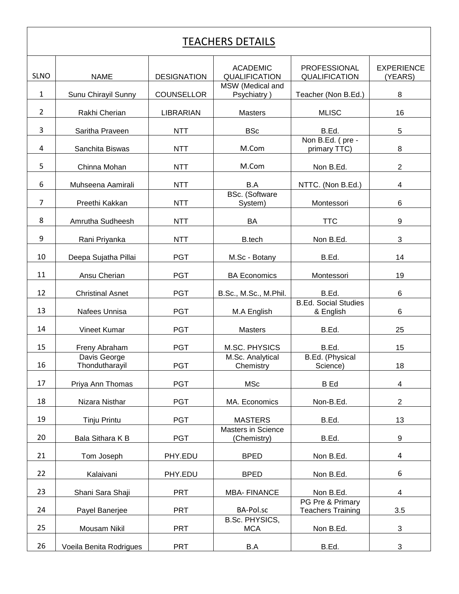## TEACHERS DETAILS

| <b>SLNO</b>    | <b>NAME</b>                    | <b>DESIGNATION</b> | <b>ACADEMIC</b><br>QUALIFICATION         | <b>PROFESSIONAL</b><br>QUALIFICATION         | <b>EXPERIENCE</b><br>(YEARS) |
|----------------|--------------------------------|--------------------|------------------------------------------|----------------------------------------------|------------------------------|
| $\mathbf{1}$   | Sunu Chirayil Sunny            | <b>COUNSELLOR</b>  | MSW (Medical and<br>Psychiatry)          | Teacher (Non B.Ed.)                          | 8                            |
| $\overline{2}$ | Rakhi Cherian                  | LIBRARIAN          | Masters                                  | <b>MLISC</b>                                 | 16                           |
| 3              | Saritha Praveen                | <b>NTT</b>         | <b>BSc</b>                               | B.Ed.                                        | 5                            |
| 4              | Sanchita Biswas                | <b>NTT</b>         | M.Com                                    | Non B.Ed. (pre -<br>primary TTC)             | 8                            |
| 5              | Chinna Mohan                   | <b>NTT</b>         | M.Com                                    | Non B.Ed.                                    | $\overline{2}$               |
| 6              | Muhseena Aamirali              | <b>NTT</b>         | B.A                                      | NTTC. (Non B.Ed.)                            | $\overline{\mathbf{4}}$      |
| $\overline{7}$ | Preethi Kakkan                 | <b>NTT</b>         | <b>BSc.</b> (Software<br>System)         | Montessori                                   | 6                            |
| 8              | Amrutha Sudheesh               | <b>NTT</b>         | BA                                       | <b>TTC</b>                                   | 9                            |
| 9              | Rani Priyanka                  | <b>NTT</b>         | B.tech                                   | Non B.Ed.                                    | 3                            |
| 10             | Deepa Sujatha Pillai           | <b>PGT</b>         | M.Sc - Botany                            | B.Ed.                                        | 14                           |
| 11             | Ansu Cherian                   | <b>PGT</b>         | <b>BA Economics</b>                      | Montessori                                   | 19                           |
| 12             | <b>Christinal Asnet</b>        | <b>PGT</b>         | B.Sc., M.Sc., M.Phil.                    | B.Ed.                                        | 6                            |
| 13             | Nafees Unnisa                  | <b>PGT</b>         | M.A English                              | <b>B.Ed. Social Studies</b><br>& English     | 6                            |
| 14             | Vineet Kumar                   | <b>PGT</b>         | Masters                                  | B.Ed.                                        | 25                           |
| 15             | Freny Abraham                  | <b>PGT</b>         | M.SC. PHYSICS                            | B.Ed.                                        | 15                           |
| 16             | Davis George<br>Thondutharayil | <b>PGT</b>         | M.Sc. Analytical<br>Chemistry            | B.Ed. (Physical<br>Science)                  | 18                           |
| 17             | Priya Ann Thomas               | <b>PGT</b>         | <b>MSc</b>                               | <b>B</b> Ed                                  | 4                            |
| 18             | Nizara Nisthar                 | <b>PGT</b>         | MA. Economics                            | Non-B.Ed.                                    | $\overline{2}$               |
| 19             | Tinju Printu                   | <b>PGT</b>         | <b>MASTERS</b>                           | B.Ed.                                        | 13                           |
| 20             | Bala Sithara K B               | <b>PGT</b>         | <b>Masters in Science</b><br>(Chemistry) | B.Ed.                                        | 9                            |
| 21             | Tom Joseph                     | PHY.EDU            | <b>BPED</b>                              | Non B.Ed.                                    | 4                            |
| 22             | Kalaivani                      | PHY.EDU            | <b>BPED</b>                              | Non B.Ed.                                    | 6                            |
| 23             | Shani Sara Shaji               | <b>PRT</b>         | <b>MBA-FINANCE</b>                       | Non B.Ed.                                    | 4                            |
| 24             | Payel Banerjee                 | <b>PRT</b>         | BA-Pol.sc                                | PG Pre & Primary<br><b>Teachers Training</b> | 3.5                          |
| 25             | Mousam Nikil                   | <b>PRT</b>         | <b>B.Sc. PHYSICS,</b><br><b>MCA</b>      | Non B.Ed.                                    | 3                            |
| 26             | Voeila Benita Rodrigues        | <b>PRT</b>         | B.A                                      | B.Ed.                                        | 3                            |